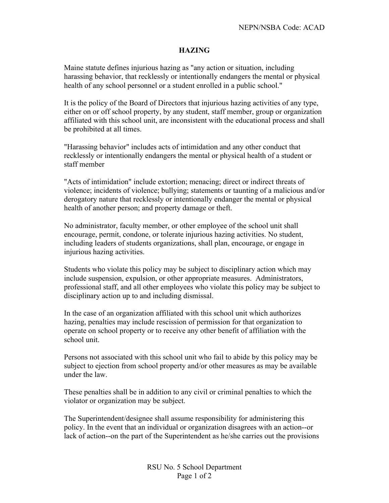## **HAZING**

Maine statute defines injurious hazing as "any action or situation, including harassing behavior, that recklessly or intentionally endangers the mental or physical health of any school personnel or a student enrolled in a public school."

It is the policy of the Board of Directors that injurious hazing activities of any type, either on or off school property, by any student, staff member, group or organization affiliated with this school unit, are inconsistent with the educational process and shall be prohibited at all times.

"Harassing behavior" includes acts of intimidation and any other conduct that recklessly or intentionally endangers the mental or physical health of a student or staff member

"Acts of intimidation" include extortion; menacing; direct or indirect threats of violence; incidents of violence; bullying; statements or taunting of a malicious and/or derogatory nature that recklessly or intentionally endanger the mental or physical health of another person; and property damage or theft.

No administrator, faculty member, or other employee of the school unit shall encourage, permit, condone, or tolerate injurious hazing activities. No student, including leaders of students organizations, shall plan, encourage, or engage in injurious hazing activities.

Students who violate this policy may be subject to disciplinary action which may include suspension, expulsion, or other appropriate measures. Administrators, professional staff, and all other employees who violate this policy may be subject to disciplinary action up to and including dismissal.

In the case of an organization affiliated with this school unit which authorizes hazing, penalties may include rescission of permission for that organization to operate on school property or to receive any other benefit of affiliation with the school unit.

Persons not associated with this school unit who fail to abide by this policy may be subject to ejection from school property and/or other measures as may be available under the law.

These penalties shall be in addition to any civil or criminal penalties to which the violator or organization may be subject.

The Superintendent/designee shall assume responsibility for administering this policy. In the event that an individual or organization disagrees with an action--or lack of action--on the part of the Superintendent as he/she carries out the provisions